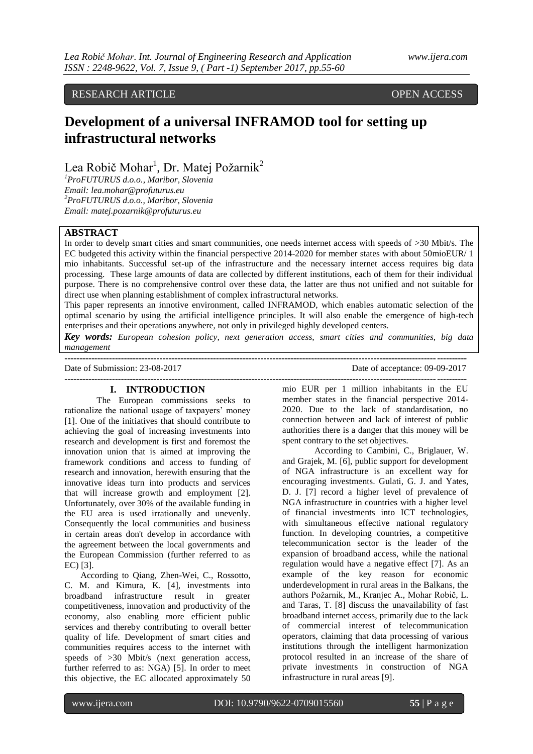RESEARCH ARTICLE OPEN ACCESS

# **Development of a universal INFRAMOD tool for setting up infrastructural networks**

Lea Robič Mohar<sup>1</sup>, Dr. Matej Požarnik<sup>2</sup>

*<sup>1</sup>ProFUTURUS d.o.o., Maribor, Slovenia Email[: lea.mohar@profuturus.eu](mailto:lea.mohar@profuturus.eu) <sup>2</sup>ProFUTURUS d.o.o., Maribor, Slovenia Email[: matej.pozarnik@profuturus.eu](mailto:matej.pozarnik@profuturus.eu)*

## **ABSTRACT**

In order to develp smart cities and smart communities, one needs internet access with speeds of >30 Mbit/s. The EC budgeted this activity within the financial perspective 2014-2020 for member states with about 50mioEUR/ 1 mio inhabitants. Successful set-up of the infrastructure and the necessary internet access requires big data processing. These large amounts of data are collected by different institutions, each of them for their individual purpose. There is no comprehensive control over these data, the latter are thus not unified and not suitable for direct use when planning establishment of complex infrastructural networks.

This paper represents an innotive environment, called INFRAMOD, which enables automatic selection of the optimal scenario by using the artificial intelligence principles. It will also enable the emergence of high-tech enterprises and their operations anywhere, not only in privileged highly developed centers.

*Key words: European cohesion policy, next generation access, smart cities and communities, big data management* **---------------------------------------------------------------------------------------------------------------------------------------**

**---------------------------------------------------------------------------------------------------------------------------------------**

Date of Submission: 23-08-2017 Date of acceptance: 09-09-2017

### **I. INTRODUCTION**

The European commissions seeks to rationalize the national usage of taxpayers' money [\[1\].](#page-4-0) One of the initiatives that should contribute to achieving the goal of increasing investments into research and development is first and foremost the innovation union that is aimed at improving the framework conditions and access to funding of research and innovation, herewith ensuring that the innovative ideas turn into products and services that will increase growth and employment [\[2\].](#page-4-1) Unfortunately, over 30% of the available funding in the EU area is used irrationally and unevenly. Consequently the local communities and business in certain areas don't develop in accordance with the agreement between the local governments and the European Commission (further referred to as EC) [\[3\].](#page-4-2)

According to Qiang, Zhen-Wei, C., Rossotto, C. M. and Kimura, K. [\[4\],](#page-4-3) investments into broadband infrastructure result in greater competitiveness, innovation and productivity of the economy, also enabling more efficient public services and thereby contributing to overall better quality of life. Development of smart cities and communities requires access to the internet with speeds of >30 Mbit/s (next generation access, further referred to as: NGA) [\[5\].](#page-4-4) In order to meet this objective, the EC allocated approximately 50

mio EUR per 1 million inhabitants in the EU member states in the financial perspective 2014- 2020. Due to the lack of standardisation, no connection between and lack of interest of public authorities there is a danger that this money will be spent contrary to the set objectives.

According to Cambini, C., Briglauer, W. and Grajek, M. [\[6\],](#page-4-5) public support for development of NGA infrastructure is an excellent way for encouraging investments. Gulati, G. J. and Yates, D. J. [\[7\]](#page-4-6) record a higher level of prevalence of NGA infrastructure in countries with a higher level of financial investments into ICT technologies, with simultaneous effective national regulatory function. In developing countries, a competitive telecommunication sector is the leader of the expansion of broadband access, while the national regulation would have a negative effect [\[7\].](#page-4-6) As an example of the key reason for economic underdevelopment in rural areas in the Balkans, the authors Požarnik, M., Kranjec A., Mohar Robič, L. and Taras, T. [\[8\]](#page-4-7) discuss the unavailability of fast broadband internet access, primarily due to the lack of commercial interest of telecommunication operators, claiming that data processing of various institutions through the intelligent harmonization protocol resulted in an increase of the share of private investments in construction of NGA infrastructure in rural areas [\[9\].](#page-4-8)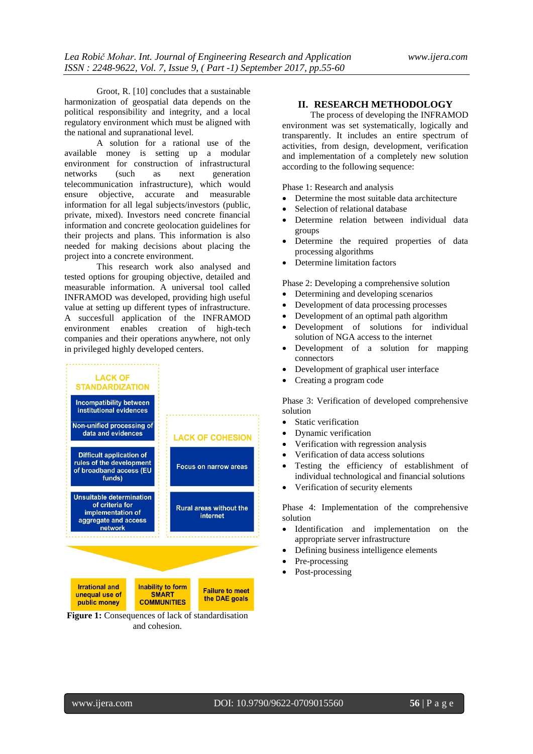Groot, R. [\[10\]](#page-4-9) concludes that a sustainable harmonization of geospatial data depends on the political responsibility and integrity, and a local regulatory environment which must be aligned with the national and supranational level.

A solution for a rational use of the available money is setting up a modular environment for construction of infrastructural networks (such as next generation telecommunication infrastructure), which would ensure objective, accurate and measurable information for all legal subjects/investors (public, private, mixed). Investors need concrete financial information and concrete geolocation guidelines for their projects and plans. This information is also needed for making decisions about placing the project into a concrete environment.

This research work also analysed and tested options for grouping objective, detailed and measurable information. A universal tool called INFRAMOD was developed, providing high useful value at setting up different types of infrastructure. A succesfull application of the INFRAMOD environment enables creation of high-tech companies and their operations anywhere, not only in privileged highly developed centers.

#### **LACK OF STANDARDIZATION Incompatibility between** institutional evidences Non-unified processing of data and evidences **LACK OF COHESION Difficult application of** rules of the development Focus on narrow areas of broadband access (EU funds) **Unsuitable determination** of criteria for **Rural areas without the** implementation of internet aggregate and access network **Irrational and Inability to form Failure to meet** unequal use of **SMART** the DAE goals **COMMUNITIES** public money

**Figure 1:** Consequences of lack of standardisation and cohesion.

## **II. RESEARCH METHODOLOGY**

The process of developing the INFRAMOD environment was set systematically, logically and transparently. It includes an entire spectrum of activities, from design, development, verification and implementation of a completely new solution according to the following sequence:

Phase 1: Research and analysis

- Determine the most suitable data architecture
- Selection of relational database
- Determine relation between individual data groups
- Determine the required properties of data processing algorithms
- Determine limitation factors

Phase 2: Developing a comprehensive solution

- Determining and developing scenarios
- Development of data processing processes
- Development of an optimal path algorithm
- Development of solutions for individual solution of NGA access to the internet
- Development of a solution for mapping connectors
- Development of graphical user interface
- Creating a program code

Phase 3: Verification of developed comprehensive solution

- Static verification
- Dynamic verification
- Verification with regression analysis
- Verification of data access solutions
- Testing the efficiency of establishment of individual technological and financial solutions
- Verification of security elements

Phase 4: Implementation of the comprehensive solution

- Identification and implementation on the appropriate server infrastructure
- Defining business intelligence elements
- Pre-processing
- Post-processing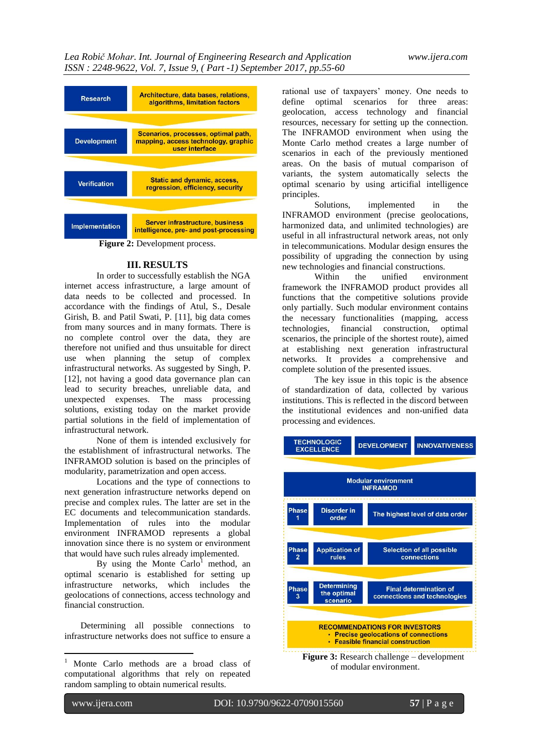

**Figure 2:** Development process.

### **III. RESULTS**

In order to successfully establish the NGA internet access infrastructure, a large amount of data needs to be collected and processed. In accordance with the findings of Atul, S., Desale Girish, B. and Patil Swati, P. [\[11\],](#page-4-10) big data comes from many sources and in many formats. There is no complete control over the data, they are therefore not unified and thus unsuitable for direct use when planning the setup of complex infrastructural networks. As suggested by Singh, P. [\[12\],](#page-4-11) not having a good data governance plan can lead to security breaches, unreliable data, and unexpected expenses. The mass processing solutions, existing today on the market provide partial solutions in the field of implementation of infrastructural network.

None of them is intended exclusively for the establishment of infrastructural networks. The INFRAMOD solution is based on the principles of modularity, parametrization and open access.

Locations and the type of connections to next generation infrastructure networks depend on precise and complex rules. The latter are set in the EC documents and telecommunication standards. Implementation of rules into the modular environment INFRAMOD represents a global innovation since there is no system or environment that would have such rules already implemented.

By using the Monte  $\text{Carlo}^1$  method, an optimal scenario is established for setting up infrastructure networks, which includes the geolocations of connections, access technology and financial construction.

Determining all possible connections to infrastructure networks does not suffice to ensure a

rational use of taxpayers' money. One needs to define optimal scenarios for three areas: geolocation, access technology and financial resources, necessary for setting up the connection. The INFRAMOD environment when using the Monte Carlo method creates a large number of scenarios in each of the previously mentioned areas. On the basis of mutual comparison of variants, the system automatically selects the optimal scenario by using articifial intelligence principles.

Solutions, implemented in the INFRAMOD environment (precise geolocations, harmonized data, and unlimited technologies) are useful in all infrastructural network areas, not only in telecommunications. Modular design ensures the possibility of upgrading the connection by using new technologies and financial constructions.

Within the unified environment framework the INFRAMOD product provides all functions that the competitive solutions provide only partially. Such modular environment contains the necessary functionalities (mapping, access technologies, financial construction, optimal scenarios, the principle of the shortest route), aimed at establishing next generation infrastructural networks. It provides a comprehensive and complete solution of the presented issues.

The key issue in this topic is the absence of standardization of data, collected by various institutions. This is reflected in the discord between the institutional evidences and non-unified data processing and evidences.



**Figure 3:** Research challenge – development of modular environment.

1

<sup>1</sup> Monte Carlo methods are a broad class of computational algorithms that rely on repeated random sampling to obtain numerical results.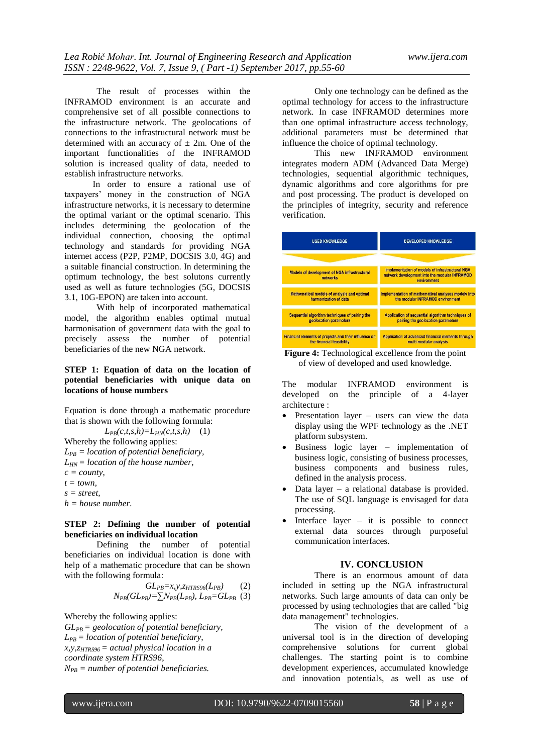The result of processes within the INFRAMOD environment is an accurate and comprehensive set of all possible connections to the infrastructure network. The geolocations of connections to the infrastructural network must be determined with an accuracy of  $\pm$  2m. One of the important functionalities of the INFRAMOD solution is increased quality of data, needed to establish infrastructure networks.

In order to ensure a rational use of taxpayers' money in the construction of NGA infrastructure networks, it is necessary to determine the optimal variant or the optimal scenario. This includes determining the geolocation of the individual connection, choosing the optimal technology and standards for providing NGA internet access (P2P, P2MP, DOCSIS 3.0, 4G) and a suitable financial construction. In determining the optimum technology, the best solutons currently used as well as future technologies (5G, DOCSIS 3.1, 10G-EPON) are taken into account.

With help of incorporated mathematical model, the algorithm enables optimal mutual harmonisation of government data with the goal to precisely assess the number of potential beneficiaries of the new NGA network.

## **STEP 1: Equation of data on the location of potential beneficiaries with unique data on locations of house numbers**

Equation is done through a mathematic procedure that is shown with the following formula:

 $L_{PB}(c,t,s,h)=L_{HN}(c,t,s,h)$  (1) Whereby the following applies: *LPB = location of potential beneficiary, LHN = location of the house number, c = county, t = town, s = street, h = house number.*

## **STEP 2: Defining the number of potential beneficiaries on individual location**

Defining the number of potential beneficiaries on individual location is done with help of a mathematic procedure that can be shown with the following formula:

> $GL_{PR} = x, y, z_{HTR} = (2)$ *NPB(GLPB)=∑NPB(LPB), LPB=GLPB* (3)

Whereby the following applies:

*GLPB = geolocation of potential beneficiary, LPB = location of potential beneficiary, x,y,zHTRS96 = actual physical location in a coordinate system HTRS96*,  $N_{PB}$  = number of potential beneficiaries.

Only one technology can be defined as the optimal technology for access to the infrastructure network. In case INFRAMOD determines more than one optimal infrastructure access technology, additional parameters must be determined that influence the choice of optimal technology.

This new INFRAMOD environment integrates modern ADM (Advanced Data Merge) technologies, sequential algorithmic techniques, dynamic algorithms and core algorithms for pre and post processing. The product is developed on the principles of integrity, security and reference verification.

| <b>USED KNOWLEDGE</b>                                                              | <b>DEVELOPED KNOWLEDGE</b>                                                                                      |
|------------------------------------------------------------------------------------|-----------------------------------------------------------------------------------------------------------------|
|                                                                                    |                                                                                                                 |
| Models of development of NGA infrastructural<br><b>networks</b>                    | Implementation of models of infrastructural NGA<br>network development into the modular INFRAMOD<br>environment |
| Mathematical models of analysis and optimal<br>harmonization of data               | Implementation of mathematical analyses models into<br>the modular INFRAMOD environment                         |
| Sequential algorithm techniques of pairing the<br>geolocation parameters           | Application of sequential algorithm techniques of<br>pairing the geolocation parameters                         |
| Financial elements of projects and their influence on<br>the financial feasibility | Application of advanced financial elements through<br>multi-modular analysis                                    |

**Figure 4:** Technological excellence from the point of view of developed and used knowledge.

The modular INFRAMOD environment is developed on the principle of a 4-layer architecture :

- Presentation layer users can view the data display using the WPF technology as the .NET platform subsystem.
- Business logic layer implementation of business logic, consisting of business processes, business components and business rules, defined in the analysis process.
- Data layer a relational database is provided. The use of SQL language is envisaged for data processing.
- Interface layer it is possible to connect external data sources through purposeful communication interfaces.

#### **IV. CONCLUSION**

There is an enormous amount of data included in setting up the NGA infrastructural networks. Such large amounts of data can only be processed by using technologies that are called "big data management" technologies.

The vision of the development of a universal tool is in the direction of developing comprehensive solutions for current global challenges. The starting point is to combine development experiences, accumulated knowledge and innovation potentials, as well as use of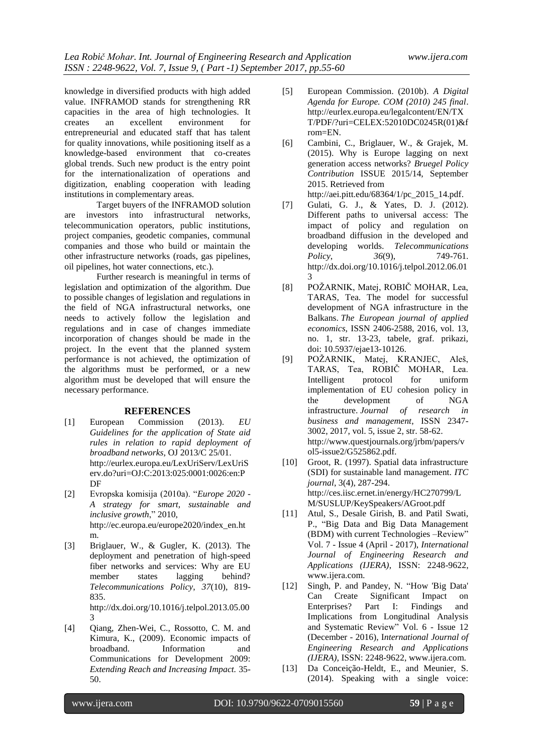knowledge in diversified products with high added value. INFRAMOD stands for strengthening RR capacities in the area of high technologies. It creates an excellent environment for entrepreneurial and educated staff that has talent for quality innovations, while positioning itself as a knowledge-based environment that co-creates global trends. Such new product is the entry point for the internationalization of operations and digitization, enabling cooperation with leading institutions in complementary areas.

Target buyers of the INFRAMOD solution are investors into infrastructural networks, telecommunication operators, public institutions, project companies, geodetic companies, communal companies and those who build or maintain the other infrastructure networks (roads, gas pipelines, oil pipelines, hot water connections, etc.).

Further research is meaningful in terms of legislation and optimization of the algorithm. Due to possible changes of legislation and regulations in the field of NGA infrastructural networks, one needs to actively follow the legislation and regulations and in case of changes immediate incorporation of changes should be made in the project. In the event that the planned system performance is not achieved, the optimization of the algorithms must be performed, or a new algorithm must be developed that will ensure the necessary performance.

#### **REFERENCES**

- <span id="page-4-0"></span>[1] European Commission (2013). *EU Guidelines for the application of State aid rules in relation to rapid deployment of broadband networks*, OJ 2013/C 25/01. [http://eurlex.europa.eu/LexUriServ/LexUriS](http://eurlex.europa.eu/LexUriServ/LexUriServ.do?uri=OJ:C:2013:025:0001:0026:en:PDF) [erv.do?uri=OJ:C:2013:025:0001:0026:en:P](http://eurlex.europa.eu/LexUriServ/LexUriServ.do?uri=OJ:C:2013:025:0001:0026:en:PDF) [DF](http://eurlex.europa.eu/LexUriServ/LexUriServ.do?uri=OJ:C:2013:025:0001:0026:en:PDF)
- <span id="page-4-1"></span>[2] Evropska komisija (2010a). "*Europe 2020 - A strategy for smart, sustainable and inclusive growth*," 2010, [http://ec.europa.eu/europe2020/index\\_en.ht](http://ec.europa.eu/europe2020/index_en.htm) [m.](http://ec.europa.eu/europe2020/index_en.htm)
- <span id="page-4-2"></span>[3] Briglauer, W., & Gugler, K. (2013). The deployment and penetration of high-speed fiber networks and services: Why are EU member states lagging behind? *Telecommunications Policy*, *37*(10), 819- 835. [http://dx.doi.org/10.1016/j.telpol.2013.05.00](http://dx.doi.org/10.1016/j.telpol.2013.05.003)

<span id="page-4-3"></span>[3](http://dx.doi.org/10.1016/j.telpol.2013.05.003) [4] Qiang, Zhen-Wei, C., Rossotto, C. M. and Kimura, K., (2009). Economic impacts of broadband. Information and Communications for Development 2009: *Extending Reach and Increasing Impact.* 35- 50.

- <span id="page-4-4"></span>[5] European Commission. (2010b). *A Digital Agenda for Europe. COM (2010) 245 final*. [http://eurlex.europa.eu/legalcontent/EN/TX](http://eurlex.europa.eu/legalcontent/EN/TXT/PDF/?uri=CELEX:52010DC0245R(01)&from=EN) [T/PDF/?uri=CELEX:52010DC0245R\(01\)&f](http://eurlex.europa.eu/legalcontent/EN/TXT/PDF/?uri=CELEX:52010DC0245R(01)&from=EN) [rom=EN.](http://eurlex.europa.eu/legalcontent/EN/TXT/PDF/?uri=CELEX:52010DC0245R(01)&from=EN)
- <span id="page-4-5"></span>[6] Cambini, C., Briglauer, W., & Grajek, M. (2015). Why is Europe lagging on next generation access networks? *Bruegel Policy Contribution* ISSUE 2015/14, September 2015. Retrieved from [http://aei.pitt.edu/68364/1/pc\\_2015\\_14.pdf.](http://aei.pitt.edu/68364/1/pc_2015_14.pdf)
- <span id="page-4-6"></span>[7] Gulati, G. J., & Yates, D. J. (2012). Different paths to universal access: The impact of policy and regulation on broadband diffusion in the developed and developing worlds. *Telecommunications Policy*, *36*(9), 749-761. [http://dx.doi.org/10.1016/j.telpol.2012.06.01](http://dx.doi.org/10.1016/j.telpol.2012.06.013) [3](http://dx.doi.org/10.1016/j.telpol.2012.06.013)
- <span id="page-4-7"></span>[8] POŽARNIK, Matej, ROBIČ MOHAR, Lea, TARAS, Tea. The model for successful development of NGA infrastructure in the Balkans. *The European journal of applied economics*, ISSN 2406-2588, 2016, vol. 13, no. 1, str. 13-23, tabele, graf. prikazi, doi: [10.5937/ejae13-10126.](https://doi.org/10.5937/ejae13-10126)
- <span id="page-4-8"></span>[9] POŽARNIK, Matej, KRANJEC, Aleš, TARAS, Tea, ROBIČ MOHAR, Lea. Intelligent protocol for uniform implementation of EU cohesion policy in the development of NGA infrastructure. *Journal of research in business and management*, ISSN 2347- 3002, 2017, vol. 5, issue 2, str. 58-62. [http://www.questjournals.org/jrbm/papers/v](http://www.questjournals.org/jrbm/papers/vol5-issue2/G525862.pdf) [ol5-issue2/G525862.pdf.](http://www.questjournals.org/jrbm/papers/vol5-issue2/G525862.pdf)
- <span id="page-4-9"></span>[10] Groot, R. (1997). Spatial data infrastructure (SDI) for sustainable land management. *ITC journal*, 3(4), 287-294. [http://ces.iisc.ernet.in/energy/HC270799/L](http://ces.iisc.ernet.in/energy/HC270799/LM/SUSLUP/KeySpeakers/AGroot.pdf) [M/SUSLUP/KeySpeakers/AGroot.pdf](http://ces.iisc.ernet.in/energy/HC270799/LM/SUSLUP/KeySpeakers/AGroot.pdf)
- <span id="page-4-10"></span>[11] Atul, S., Desale Girish, B. and Patil Swati, P., "Big Data and Big Data Management (BDM) with current Technologies –Review" Vol. 7 - Issue 4 (April - 2017), *International Journal of Engineering Research and Applications (IJERA)*, ISSN: 2248-9622, [www.ijera.com.](http://www.ijera.com/)
- <span id="page-4-11"></span>[12] Singh, P. and Pandey, N. "How 'Big Data' Can Create Significant Impact on Enterprises? Part I: Findings and Implications from Longitudinal Analysis and Systematic Review" Vol. 6 - Issue 12 (December - 2016), I*nternational Journal of Engineering Research and Applications (IJERA)*, ISSN: 2248-9622[, www.ijera.com.](http://www.ijera.com/)
- [13] Da Conceição-Heldt, E., and Meunier, S. (2014). Speaking with a single voice: